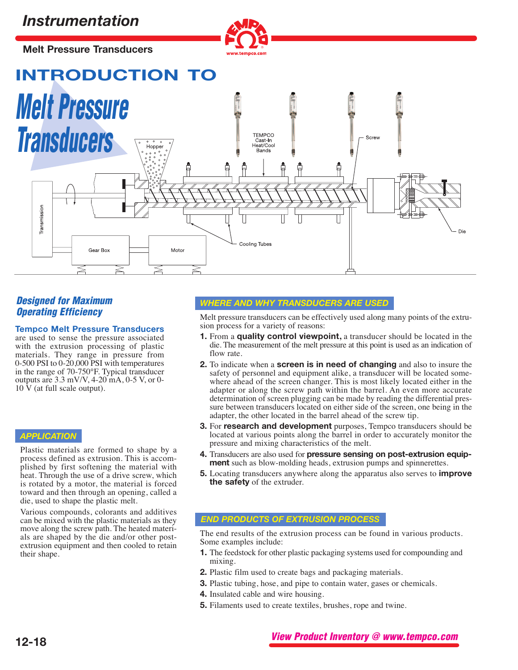**Melt Pressure Transducers**



**INTRODUCTION TO**



# **Operating Efficiency**

### **Tempco Melt Pressure Transducers**

are used to sense the pressure associated with the extrusion processing of plastic materials. They range in pressure from 0-500 PSI to 0-20,000 PSI with temperatures in the range of 70-750°F. Typical transducer outputs are 3.3 mV/V, 4-20 mA, 0-5 V, or 0-  $10\,\text{V}$  (at full scale output).

## *APPLICATION*

Plastic materials are formed to shape by a process defined as extrusion. This is accom- plished by first softening the material with heat. Through the use of a drive screw, which is rotated by a motor, the material is forced toward and then through an opening, called a die, used to shape the plastic melt.

Various compounds, colorants and additives can be mixed with the plastic materials as they move along the screw path. The heated materials are shaped by the die and/or other postextrusion equipment and then cooled to retain their shape.

## **Designed for Maximum** *WHERE AND WHY TRANSDUCERS ARE USED*

Melt pressure transducers can be effectively used along many points of the extrusion process for a variety of reasons:

- **1.** From a **quality control viewpoint,** a transducer should be located in the die. The measurement of the melt pressure at this point is used as an indication of flow rate.
- **2.** To indicate when a **screen is in need of changing** and also to insure the safety of personnel and equipment alike, a transducer will be located somewhere ahead of the screen changer. This is most likely located either in the adapter or along the screw path within the barrel. An even more accurate determination of screen plugging can be made by reading the differential pressure between transducers located on either side of the screen, one being in the adapter, the other located in the barrel ahead of the screw tip.
- **3.** For **research and development** purposes, Tempco transducers should be located at various points along the barrel in order to accurately monitor the pressure and mixing characteristics of the melt.
- **4.** Transducers are also used for **pressure sensing on post-extrusion equip- ment** such as blow-molding heads, extrusion pumps and spinnerettes.
- **5.** Locating transducers anywhere along the apparatus also serves to **improve the safety** of the extruder.

### *END PRODUCTS OF EXTRUSION PROCESS*

The end results of the extrusion process can be found in various products. Some examples include:

- **1.** The feedstock for other plastic packaging systems used for compounding and mixing.
- **2.** Plastic film used to create bags and packaging materials.
- **3.** Plastic tubing, hose, and pipe to contain water, gases or chemicals.
- **4.** Insulated cable and wire housing.
- **5.** Filaments used to create textiles, brushes, rope and twine.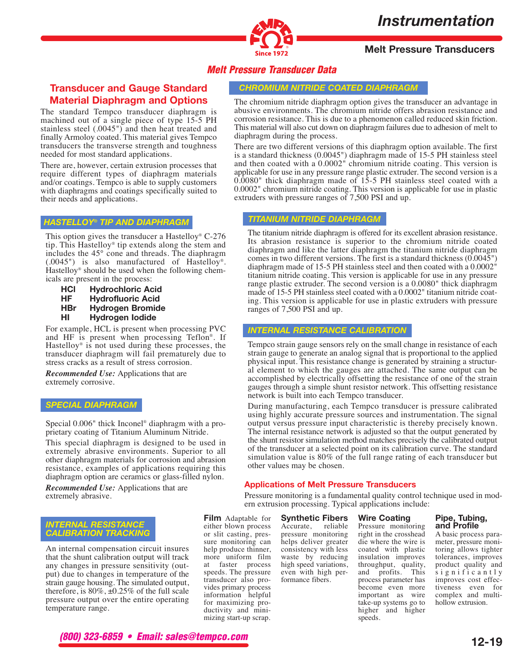

## **Melt Pressure Transducers**

## **Melt Pressure Transducer Data**

## **Transducer and Gauge Standard Material Diaphragm and Options**

The standard Tempco transducer diaphragm is machined out of a single piece of type 15-5 PH stainless steel (.0045") and then heat treated and finally Armoloy coated. This material gives Tempco transducers the transverse strength and toughness needed for most standard applications.

There are, however, certain extrusion processes that require different types of diaphragm materials and/or coatings. Tempco is able to supply customers with diaphragms and coatings specifically suited to their needs and applications.

#### *HASTELLOY® TIP AND DIAPHRAGM*

This option gives the transducer a Hastelloy® C-276 tip. This Hastelloy® tip extends along the stem and includes the 45° cone and threads. The diaphragm (.0045") is also manufactured of Hastelloy®. Hastelloy® should be used when the following chemicals are present in the process:

**HCl Hydrochloric Acid HF Hydrofluoric Acid HBr Hydrogen Bromide HI Hydrogen Iodide**

For example, HCL is present when processing PVC and HF is present when processing Teflon®. If Hastelloy® is not used during these processes, the transducer diaphragm will fail prematurely due to stress cracks as a result of stress corrosion.

*Recommended Use:* Applications that are extremely corrosive.

#### *SPECIAL DIAPHRAGM*

Special 0.006" thick Inconel® diaphragm with a proprietary coating of Titanium Aluminum Nitride.

This special diaphragm is designed to be used in extremely abrasive environments. Superior to all other diaphragm materials for corrosion and abrasion resistance, examples of applications requiring this diaphragm option are ceramics or glass-filled nylon.

*Recommended Use:* Applications that are extremely abrasive.

#### *INTERNAL RESISTANCE CALIBRATION TRACKING*

An internal compensation circuit insures that the shunt calibration output will track any changes in pressure sensitivity (output) due to changes in temperature of the strain gauge housing. The simulated output, therefore, is  $80\%$ ,  $\pm 0.25\%$  of the full scale pressure output over the entire operating temperature range.

**Film** Adaptable for either blown process or slit casting, pressure monitoring can help produce thinner, more uniform film at faster process speeds. The pressure transducer also provides primary process information helpful for maximizing productivity and minimizing start-up scrap.

**Synthetic Fibers** Accurate, pressure monitoring helps deliver greater consistency with less waste by reducing high speed variations, even with high performance fibers.

**Applications of Melt Pressure Transducers**

ern extrusion processing. Typical applications include:

### **Wire Coating**

Pressure monitoring right in the crosshead die where the wire is coated with plastic insulation improves throughput, quality, and profits. This process parameter has become even more important as wire take-up systems go to higher and higher speeds.

#### **Pipe, Tubing, and Profile**

A basic process parameter, pressure monitoring allows tighter tolerances, improves product quality and significantly improves cost effectiveness even for complex and multihollow extrusion.

## **(800) 323-6859 • Email: sales@tempco.com**

*CHROMIUM NITRIDE COATED DIAPHRAGM*

The chromium nitride diaphragm option gives the transducer an advantage in abusive environments. The chromium nitride offers abrasion resistance and corrosion resistance. This is due to a phenomenon called reduced skin friction. This material will also cut down on diaphragm failures due to adhesion of melt to diaphragm during the process.

There are two different versions of this diaphragm option available. The first is a standard thickness (0.0045") diaphragm made of 15-5 PH stainless steel and then coated with a 0.0002" chromium nitride coating. This version is applicable for use in any pressure range plastic extruder. The second version is a 0.0080" thick diaphragm made of 15-5 PH stainless steel coated with a 0.0002" chromium nitride coating. This version is applicable for use in plastic extruders with pressure ranges of 7,500 PSI and up.

### *TITANIUM NITRIDE DIAPHRAGM*

The titanium nitride diaphragm is offered for its excellent abrasion resistance. Its abrasion resistance is superior to the chromium nitride coated diaphragm and like the latter diaphragm the titanium nitride diaphragm comes in two different versions. The first is a standard thickness (0.0045") diaphragm made of 15-5 PH stainless steel and then coated with a 0.0002" titanium nitride coating. This version is applicable for use in any pressure range plastic extruder. The second version is a 0.0080" thick diaphragm made of 15-5 PH stainless steel coated with a 0.0002" titanium nitride coating. This version is applicable for use in plastic extruders with pressure ranges of 7,500 PSI and up.

### *INTERNAL RESISTANCE CALIBRATION*

Tempco strain gauge sensors rely on the small change in resistance of each strain gauge to generate an analog signal that is proportional to the applied physical input. This resistance change is generated by straining a structur- al element to which the gauges are attached. The same output can be accomplished by electrically offsetting the resistance of one of the strain gauges through a simple shunt resistor network. This offsetting resistance network is built into each Tempco transducer.

During manufacturing, each Tempco transducer is pressure calibrated using highly accurate pressure sources and instrumentation. The signal output versus pressure input characteristic is thereby precisely known. The internal resistance network is adjusted so that the output generated by the shunt resistor simulation method matches precisely the calibrated output of the transducer at a selected point on its calibration curve. The standard simulation value is 80% of the full range rating of each transducer but other values may be chosen.

Pressure monitoring is a fundamental quality control technique used in mod-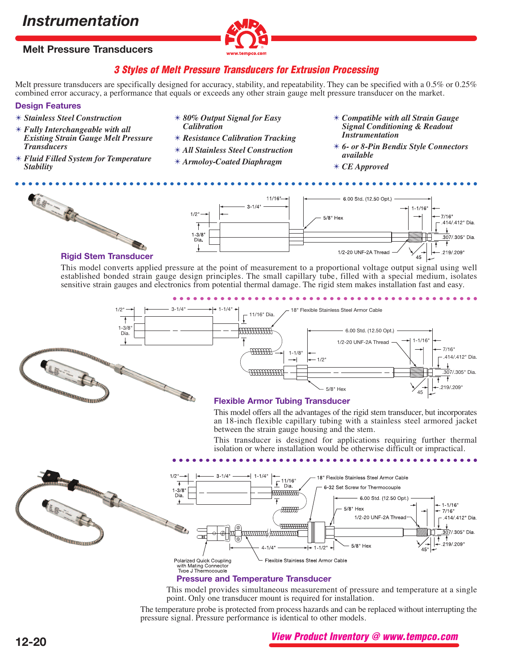## **Melt Pressure Transducers**



## **3 Styles of Melt Pressure Transducers for Extrusion Processing**

Melt pressure transducers are specifically designed for accuracy, stability, and repeatability. They can be specified with a 0.5% or 0.25% combined error accuracy, a performance that equals or exceeds any other strain gauge melt pressure transducer on the market.

### **Design Features**

- ✴ *Stainless Steel Construction*
- ✴ *Fully Interchangeable with all Existing Strain Gauge Melt Pressure Transducers*
- ✴ *Fluid Filled System for Temperature Stability*
- ✴ *80% Output Signal for Easy Calibration*
- ✴ *Resistance Calibration Tracking*
- ✴ *All Stainless Steel Construction*
- ✴ *Armoloy-Coated Diaphragm*
- ✴ *Compatible with all Strain Gauge Signal Conditioning & Readout Instrumentation*
- ✴ *6- or 8-Pin Bendix Style Connectors available*
- ✴ *CE Approved*





#### **Rigid Stem Transducer**

This model converts applied pressure at the point of measurement to a proportional voltage output signal using well established bonded strain gauge design principles. The small capillary tube, filled with a special medium, isolates sensitive strain gauges and electronics from potential thermal damage. The rigid stem makes installation fast and easy.



This model provides simultaneous measurement of pressure and temperature at a single point. Only one transducer mount is required for installation.

The temperature probe is protected from process hazards and can be replaced without interrupting the pressure signal. Pressure performance is identical to other models.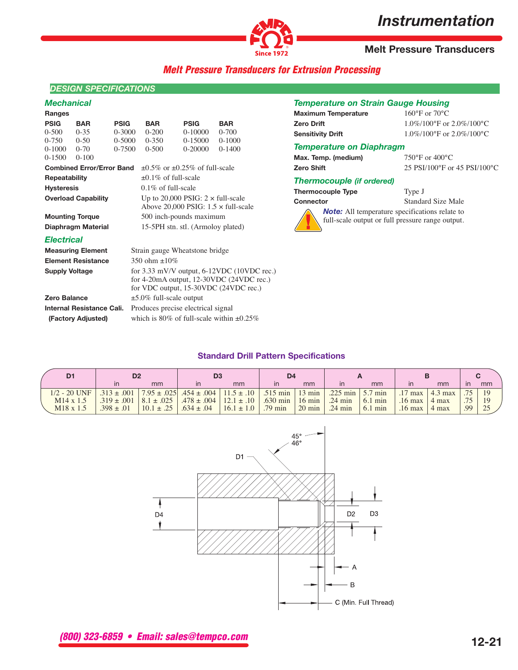

**Melt Pressure Transducers**

## **Melt Pressure Transducers for Extrusion Processing**

## *DESIGN SPECIFICATIONS*

### *Mechanical*

| Ranges                    |                                  |             |                                                    |             |                                                |  |  |
|---------------------------|----------------------------------|-------------|----------------------------------------------------|-------------|------------------------------------------------|--|--|
| <b>PSIG</b>               | <b>BAR</b>                       | <b>PSIG</b> | <b>BAR</b>                                         | <b>PSIG</b> | <b>BAR</b>                                     |  |  |
| $0 - 500$                 | $0 - 35$                         | $0 - 3000$  | $0 - 200$                                          | $0-10000$   | $0 - 700$                                      |  |  |
| 0-750                     | $0 - 50$                         | 0-5000      | $0 - 350$                                          | 0-15000     | $0-1000$                                       |  |  |
| 0-1000                    | $0-70$                           | 0-7500      | $0 - 500$                                          | 0-20000     | $0-1400$                                       |  |  |
| 0-1500                    | $0 - 100$                        |             |                                                    |             |                                                |  |  |
|                           | <b>Combined Error/Error Band</b> |             | $\pm 0.5\%$ or $\pm 0.25\%$ of full-scale          |             |                                                |  |  |
| Repeatability             |                                  |             | $+0.1\%$ of full-scale                             |             |                                                |  |  |
| <b>Hysteresis</b>         |                                  |             | $0.1\%$ of full-scale                              |             |                                                |  |  |
|                           | <b>Overload Capability</b>       |             | Up to 20,000 PSIG: $2 \times \text{full-scale}$    |             |                                                |  |  |
|                           |                                  |             | Above 20,000 PSIG: $1.5 \times \text{full-scale}$  |             |                                                |  |  |
| <b>Mounting Torque</b>    |                                  |             | 500 inch-pounds maximum                            |             |                                                |  |  |
|                           | Diaphragm Material               |             | 15-5PH stn. stl. (Armoloy plated)                  |             |                                                |  |  |
| <b>Electrical</b>         |                                  |             |                                                    |             |                                                |  |  |
|                           | <b>Measuring Element</b>         |             | Strain gauge Wheatstone bridge                     |             |                                                |  |  |
|                           | <b>Element Resistance</b>        |             | 350 ohm $\pm 10\%$                                 |             |                                                |  |  |
| <b>Supply Voltage</b>     |                                  |             | for $3.33$ mV/V output, $6-12$ VDC $(10$ VDC rec.) |             |                                                |  |  |
|                           |                                  |             |                                                    |             | for 4-20mA output, $12-30$ VDC $(24$ VDC rec.) |  |  |
|                           |                                  |             |                                                    |             | for VDC output, 15-30VDC (24VDC rec.)          |  |  |
| Zero Balance              |                                  |             | $\pm$ 5.0% full-scale output                       |             |                                                |  |  |
| Internal Resistance Cali. |                                  |             | Produces precise electrical signal                 |             |                                                |  |  |
| (Factory Adjusted)        |                                  |             | which is 80% of full-scale within $\pm 0.25\%$     |             |                                                |  |  |

## *Temperature on Strain Gauge Housing*

| Maximum Temperature | $160^{\circ}$ F or $70^{\circ}$ C            |
|---------------------|----------------------------------------------|
| Zero Drift          | $1.0\%/100\text{°F}$ or $2.0\%/100\text{°C}$ |
| Sensitivity Drift   | $1.0\%/100\text{°F}$ or $2.0\%/100\text{°C}$ |

#### *Temperature on Diaphragm*

|                   | Max. Temp. (medium) |
|-------------------|---------------------|
| <b>Zero Shift</b> |                     |

**Max. Temp. (medium)** 750°F or 400°C **Zero Shift** 25 PSI/100°F or 45 PSI/100°C

#### *Thermocouple (if ordered)*

**Thermocouple Type** Type J



**Connector** Standard Size Male

**Note:** All temperature specifications relate to full-scale output or full pressure range output.

## **Standard Drill Pattern Specifications**

| D <sub>1</sub>        | D <sub>2</sub>  |                | D <sub>3</sub>                                                       |                | D <sub>4</sub>              |                  |                          |                   |                   |                 |     |               |
|-----------------------|-----------------|----------------|----------------------------------------------------------------------|----------------|-----------------------------|------------------|--------------------------|-------------------|-------------------|-----------------|-----|---------------|
|                       | $\mathsf{I}$    | mm             |                                                                      | mm             | $\mathsf{I}$                | mm               | $\mathsf{I}$             | mm                |                   | mm              | ın  | mm            |
| $1/2 - 20$ UNF        |                 |                | $.313 \pm .001$   $7.95 \pm .025$   $.454 \pm .004$   $11.5 \pm .10$ |                | $.515 \text{ min}$   13 min |                  | .225 min $\vert$ 5.7 min |                   | $.17 \text{ max}$ | $\vert$ 4.3 max |     | <sup>19</sup> |
| $M14 \times 1.5$      | $.319 \pm .001$ | $8.1 \pm .025$ | $.478 \pm .004 \pm 12.1 \pm .10 \pm .00$                             |                | $.630 \text{ min}$          | $16 \text{ min}$ | $.24 \text{ min}$        | $6.1 \text{ min}$ | $.16 \text{ max}$ | 4 max           | .75 | <sup>19</sup> |
| M <sub>18</sub> x 1.5 | $.398 \pm .01$  | $10.1 \pm .25$ | $.634 \pm .04$                                                       | $16.1 \pm 1.0$ | $.79 \text{ min}$           | $20 \text{ min}$ | $.24 \text{ min}$        | $6.1 \text{ min}$ | $.16 \text{ max}$ | 4 max           | .99 | 25            |



**(800) 323-6859 • Email: sales@tempco.com**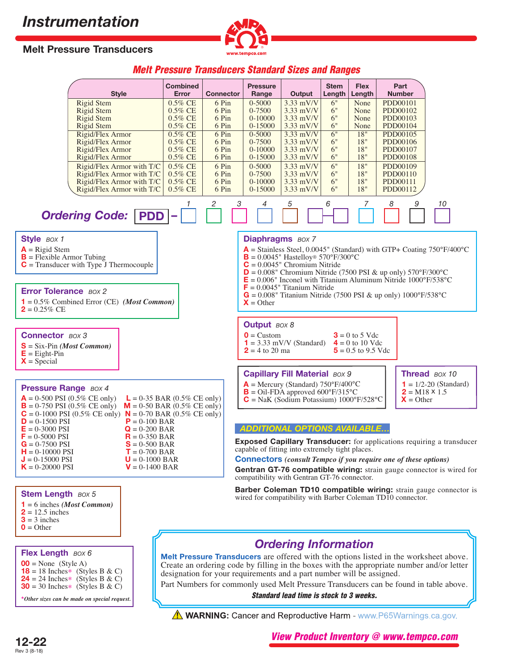

## **Melt Pressure Transducers**

## **Melt Pressure Transducers Standard Sizes and Ranges**

| <b>Style</b>                                                        |                                        | <b>Combined</b><br>Error | <b>Connector</b> | <b>Pressure</b><br>Range | Output                                                                                              | <b>Stem</b><br>Length | <b>Flex</b><br>Length                     |          | Part<br><b>Number</b> |                                                                                              |
|---------------------------------------------------------------------|----------------------------------------|--------------------------|------------------|--------------------------|-----------------------------------------------------------------------------------------------------|-----------------------|-------------------------------------------|----------|-----------------------|----------------------------------------------------------------------------------------------|
| <b>Rigid Stem</b>                                                   |                                        | 0.5% CE                  | 6 Pin            | $0 - 5000$               | $3.33$ mV/V                                                                                         | 6"                    | None                                      | PDD00101 |                       |                                                                                              |
| Rigid Stem                                                          |                                        | 0.5% CE                  | 6 Pin            | 0-7500                   | $3.33$ mV/V                                                                                         | 6"                    | None                                      |          | PDD00102              |                                                                                              |
| <b>Rigid Stem</b>                                                   |                                        | 0.5% CE                  | 6 Pin            | $0-10000$                | $3.33$ mV/V                                                                                         | 6"                    | None                                      | PDD00103 |                       |                                                                                              |
| <b>Rigid Stem</b>                                                   |                                        | 0.5% CE                  | 6 Pin            | 0-15000                  | $3.33$ mV/V                                                                                         | 6"                    | None                                      |          | PDD00104              |                                                                                              |
| Rigid/Flex Armor                                                    |                                        | 0.5% CE                  | 6 Pin            | $0 - 5000$               | $3.33$ mV/V                                                                                         | 6"                    | 18"                                       |          | PDD00105              |                                                                                              |
| Rigid/Flex Armor                                                    |                                        | 0.5% CE                  | 6 Pin            | 0-7500                   | $3.33$ mV/V                                                                                         | 6"                    | 18"                                       |          | PDD00106              |                                                                                              |
| Rigid/Flex Armor                                                    |                                        | 0.5% CE                  | 6 Pin            | $0-10000$                | $3.33$ mV/V                                                                                         | 6"                    | 18"                                       | PDD00107 |                       |                                                                                              |
| Rigid/Flex Armor                                                    |                                        | $0.5\%$ CE               | 6 Pin            | 0-15000                  | $3.33$ mV/V                                                                                         | 6"                    | 18"                                       | PDD00108 |                       |                                                                                              |
| Rigid/Flex Armor with T/C                                           |                                        | 0.5% CE                  | 6 Pin            | $0 - 5000$               | $3.33$ mV/V                                                                                         | 6"                    | 18"                                       | PDD00109 |                       |                                                                                              |
| Rigid/Flex Armor with T/C                                           |                                        | 0.5% CE                  | 6 Pin            | 0-7500                   | $3.33$ mV/V                                                                                         | 6"                    | 18"                                       | PDD00110 |                       |                                                                                              |
| Rigid/Flex Armor with T/C                                           |                                        | $0.5\%$ CE               | 6 Pin            | $0 - 10000$              | $3.33$ mV/V                                                                                         | 6"                    | 18"                                       | PDD00111 |                       |                                                                                              |
| Rigid/Flex Armor with T/C                                           |                                        | 0.5% CE                  | 6 Pin            | 0-15000                  | $3.33$ mV/V                                                                                         | 6"                    | 18"                                       |          | PDD00112              |                                                                                              |
| <b>Ordering Code:   PDD  -</b>                                      |                                        |                          | 3<br>2           | 4                        | 5                                                                                                   | 6                     | 7                                         | 8        |                       | 10                                                                                           |
| Style BOX 1                                                         |                                        |                          |                  |                          | <b>Diaphragms</b> BOX 7                                                                             |                       |                                           |          |                       |                                                                                              |
| $A =$ Rigid Stem                                                    |                                        |                          |                  |                          |                                                                                                     |                       |                                           |          |                       | $\mathsf{A}$ = Stainless Steel, 0.0045" (Standard) with GTP+ Coating 750°F/400°C             |
| $B =$ Flexible Armor Tubing                                         |                                        |                          |                  |                          | $\mathbf{B} = 0.0045$ " Hastelloy® 570°F/300°C                                                      |                       |                                           |          |                       |                                                                                              |
| $C =$ Transducer with Type J Thermocouple                           |                                        |                          |                  |                          | $C = 0.0045$ " Chromium Nitride                                                                     |                       |                                           |          |                       |                                                                                              |
|                                                                     |                                        |                          |                  |                          | $D = 0.008$ " Chromium Nitride (7500 PSI & up only) 570°F/300°C                                     |                       |                                           |          |                       |                                                                                              |
|                                                                     |                                        |                          |                  |                          | $E = 0.006$ " Inconel with Titanium Aluminum Nitride 1000°F/538°C                                   |                       |                                           |          |                       |                                                                                              |
| <b>Error Tolerance BOX 2</b>                                        |                                        |                          |                  |                          | $\mathbf{F} = 0.0045$ " Titanium Nitride                                                            |                       |                                           |          |                       |                                                                                              |
|                                                                     |                                        |                          |                  |                          | $G = 0.008$ " Titanium Nitride (7500 PSI & up only) 1000°F/538°C                                    |                       |                                           |          |                       |                                                                                              |
| $1 = 0.5\%$ Combined Error (CE) (Most Common)                       |                                        |                          |                  | $X = Other$              |                                                                                                     |                       |                                           |          |                       |                                                                                              |
| $2 = 0.25\%$ CE                                                     |                                        |                          |                  |                          |                                                                                                     |                       |                                           |          |                       |                                                                                              |
|                                                                     |                                        |                          |                  | <b>Output</b> BOX 8      |                                                                                                     |                       |                                           |          |                       |                                                                                              |
|                                                                     |                                        |                          |                  |                          |                                                                                                     |                       |                                           |          |                       |                                                                                              |
| <b>Connector BOX 3</b>                                              |                                        |                          |                  | $\mathbf{0}$ = Custom    |                                                                                                     |                       | $3 = 0$ to 5 Vdc                          |          |                       |                                                                                              |
| $S = Six-Pin (Most Common)$                                         |                                        |                          |                  | <b>2</b> = 4 to 20 ma    | $1 = 3.33$ mV/V (Standard)                                                                          |                       | $4 = 0$ to 10 Vdc<br>$5 = 0.5$ to 9.5 Vdc |          |                       |                                                                                              |
| $E =$ Eight-Pin                                                     |                                        |                          |                  |                          |                                                                                                     |                       |                                           |          |                       |                                                                                              |
| $X = Special$                                                       |                                        |                          |                  |                          |                                                                                                     |                       |                                           |          |                       |                                                                                              |
|                                                                     |                                        |                          |                  |                          | <b>Capillary Fill Material BOX 9</b>                                                                |                       |                                           |          |                       | Thread BOX 10                                                                                |
|                                                                     |                                        |                          |                  |                          |                                                                                                     |                       |                                           |          |                       |                                                                                              |
| <b>Pressure Range BOX 4</b>                                         |                                        |                          |                  |                          | $\mathsf{A}$ = Mercury (Standard) 750°F/400°C<br>$\mathbf{B} = \text{Oil-FDA}$ approved 600°F/315°C |                       |                                           |          | $2 = M18 \times 1.5$  | $1 = 1/2 - 20$ (Standard)                                                                    |
| $\mathbf{A} = 0.500$ PSI (0.5% CE only)                             | $\mathsf{L} = 0.35$ BAR (0.5% CE only) |                          |                  |                          | $C = NaK$ (Sodium Potassium) 1000°F/528°C                                                           |                       |                                           |          | $X = Other$           |                                                                                              |
| $B = 0-750$ PSI (0.5% CE only)                                      | $M = 0.50$ BAR (0.5% CE only)          |                          |                  |                          |                                                                                                     |                       |                                           |          |                       |                                                                                              |
| <b>C</b> = 0-1000 PSI (0.5% CE only) $N = 0$ -70 BAR (0.5% CE only) |                                        |                          |                  |                          |                                                                                                     |                       |                                           |          |                       |                                                                                              |
| $D = 0.1500$ PSI                                                    | $P = 0.100$ BAR                        |                          |                  |                          |                                                                                                     |                       |                                           |          |                       |                                                                                              |
| $E = 0.3000$ PSI                                                    | $Q = 0-200$ BAR                        |                          |                  |                          | <b>ADDITIONAL OPTIONS AVAILABLE.</b>                                                                |                       |                                           |          |                       |                                                                                              |
| $F = 0.5000$ PSI                                                    | $R = 0.350$ BAR                        |                          |                  |                          |                                                                                                     |                       |                                           |          |                       |                                                                                              |
| $G = 0-7500$ PSI                                                    | $S = 0.500$ BAR                        |                          |                  |                          |                                                                                                     |                       |                                           |          |                       | <b>Exposed Capillary Transducer:</b> for applications requiring a transducer                 |
| $H = 0-10000$ PSI                                                   | $T = 0.700$ BAR                        |                          |                  |                          | capable of fitting into extremely tight places.                                                     |                       |                                           |          |                       |                                                                                              |
| $J = 0.15000$ PSI                                                   | $U = 0.1000$ BAR                       |                          |                  |                          | <b>Connectors</b> (consult Tempco if you require one of these options)                              |                       |                                           |          |                       |                                                                                              |
| $K = 0-20000$ PSI                                                   | $V = 0.1400$ BAR                       |                          |                  |                          |                                                                                                     |                       |                                           |          |                       | Gentran GT-76 compatible wiring: strain gauge connector is wired for                         |
|                                                                     |                                        |                          |                  |                          | compatibility with Gentran GT-76 connector.                                                         |                       |                                           |          |                       |                                                                                              |
|                                                                     |                                        |                          |                  |                          |                                                                                                     |                       |                                           |          |                       | Barber Coleman TD10 compatible wiring: strain gauge connector is                             |
| <b>Stem Length BOX 5</b>                                            |                                        |                          |                  |                          | wired for compatibility with Barber Coleman TD10 connector.                                         |                       |                                           |          |                       |                                                                                              |
| $1 = 6$ inches ( <i>Most Common</i> )                               |                                        |                          |                  |                          |                                                                                                     |                       |                                           |          |                       |                                                                                              |
| $2 = 12.5$ inches                                                   |                                        |                          |                  |                          |                                                                                                     |                       |                                           |          |                       |                                                                                              |
| $3 = 3$ inches                                                      |                                        |                          |                  |                          |                                                                                                     |                       |                                           |          |                       |                                                                                              |
| $\mathbf{0}$ = Other                                                |                                        |                          |                  |                          |                                                                                                     |                       |                                           |          |                       |                                                                                              |
|                                                                     |                                        |                          |                  |                          |                                                                                                     |                       |                                           |          |                       |                                                                                              |
|                                                                     |                                        |                          |                  |                          | <b>Ordering Information</b>                                                                         |                       |                                           |          |                       |                                                                                              |
| Flex Length BOX 6                                                   |                                        |                          |                  |                          |                                                                                                     |                       |                                           |          |                       | <b>Melt Pressure Transducers</b> are offered with the options listed in the worksheet above. |
| $00 = None$ (Style A)                                               |                                        |                          |                  |                          |                                                                                                     |                       |                                           |          |                       | Create an ordering code by filling in the boxes with the appropriate number and/or letter    |

 $00 = \text{None}$  (Style A)  $18 = 18$  Inches\* (Styles B & C) **24** = 24 Inches\* (Styles B & C) **30** = 30 Inches\* (Styles B & C)

\**Other sizes can be made on special request.*

Create an ordering code by filling in the boxes with the appropriate number and/or letter designation for your requirements and a part number will be assigned.

Part Numbers for commonly used Melt Pressure Transducers can be found in table above. **Standard lead time is stock to 3 weeks.**

**A WARNING:** Cancer and Reproductive Harm - www.P65Warnings.ca.gov.

**View Product Inventory @ www.tempco.com**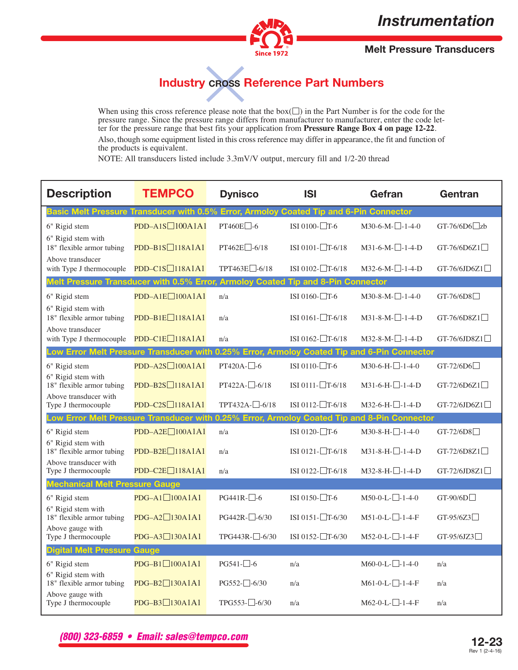

**Melt Pressure Transducers**

# **Industry CROSS Reference Part Numbers**

When using this cross reference please note that the  $box(\square)$  in the Part Number is for the code for the pressure range. Since the pressure range differs from manufacture to manufacturer, enter the code letfer for the pressure range that best fits your application from **Pressure Range Box 4 on page 12-22**. Also, though some equipment listed in this cross reference may differ in appearance, the fit and function of the products is equivalent.

NOTE: All transducers listed include 3.3mV/V output, mercury fill and 1/2-20 thread

| <b>Description</b>                                                                          | <b>TEMPCO</b>              | <b>Dynisco</b>           | <b>ISI</b>                                    | Gefran                       | Gentran                |
|---------------------------------------------------------------------------------------------|----------------------------|--------------------------|-----------------------------------------------|------------------------------|------------------------|
| Basic Melt Pressure Transducer with 0.5% Error, Armoloy Coated Tip and 6-Pin Connector      |                            |                          |                                               |                              |                        |
| 6" Rigid stem                                                                               | PDD-A1S□100A1A1            | PT460E□-6                | ISI 0100- $\Box$ T-6                          | $M30-6-M-$ -1-4-0            | GT-76/6D6 $\Box$ zb    |
| 6" Rigid stem with<br>18" flexible armor tubing                                             | $PDD-B1S \square 118A1A1$  | $PT462E$ -6/18           | ISI 0101-□T-6/18                              | $M31-6-M-1-1-4-D$            | GT-76/6D6Z1 $\Box$     |
| Above transducer<br>with Type J thermocouple                                                | $PDD-C1S\Box 118A1A1$      | TPT463E <sup>-6/18</sup> | ISI 0102- $\Box$ T-6/18                       | $M32-6-M-1-1-4-D$            | $GT-76/6JD6Z1$         |
| Melt Pressure Transducer with 0.5% Error,                                                   |                            |                          | <b>Armoloy Coated Tip and 8-Pin Connector</b> |                              |                        |
| 6" Rigid stem                                                                               | $PDD-A1E\Box 100A1A1$      | n/a                      | ISI 0160- $\Box$ T-6                          | $M30-8-M-1-4-0$              | $GT-76/6DS$            |
| 6" Rigid stem with<br>18" flexible armor tubing                                             | $PDD-B1E$ 118A1A1          | n/a                      | ISI 0161- $\Box$ T-6/18                       | $M31-8-M-1-4-D$              | $GT-76/6D8Z1$          |
| Above transducer<br>with Type J thermocouple                                                | PDD-C1E□118A1A1            | n/a                      | ISI 0162- $\Box$ T-6/18                       | $M32-8-M-1-4-D$              | $GT-76/6JD8Z1$         |
| Low Error Melt Pressure Transducer with 0.25% Error, Armoloy Coated Tip and 6-Pin Connector |                            |                          |                                               |                              |                        |
| 6" Rigid stem                                                                               | $PDD-AZS\Box 100A1A1$      | $PT420A-$ -6             | ISI 0110- $\Box$ T-6                          | $M30-6-H$ - $-1-4-0$         | $GT-72/6D6$            |
| 6" Rigid stem with<br>18" flexible armor tubing                                             | $PDD-B2S\Box$ 118A1A1      | PT422A-□-6/18            | ISI 0111- $\Box$ T-6/18                       | $M31-6-H-1-4-D$              | $GT-72/6D6Z1$          |
| Above transducer with<br>Type J thermocouple                                                | $PDD-C2S\Box 118A1A1$      | TPT432A-□-6/18           | ISI 0112- $\Box$ T-6/18                       | $M32-6-H$ - $-1-4-D$         | GT-72/6JD6Z1 $\Box$    |
| Low Error Melt Pressure Transducer with 0.25% Error, Armoloy Coated Tip and 8-Pin Connector |                            |                          |                                               |                              |                        |
| 6" Rigid stem                                                                               | PDD-A2E□100A1A1            | n/a                      | ISI 0120-□T-6                                 | M30-8-H- <sup>1-</sup> 1-4-0 | GT-72/6D8              |
| 6" Rigid stem with<br>18" flexible armor tubing                                             | $PDD-B2E\Box$ 118A1A1      | n/a                      | ISI 0121-□T-6/18                              | $M31-8-H-1-4-D$              | $GT-72/6D8Z1$          |
| Above transducer with<br>Type J thermocouple                                                | PDD-C2E <sup>118A1A1</sup> | n/a                      | ISI 0122-□T-6/18                              | M32-8-H- <sup>1-</sup> 1-4-D | GT-72/6JD8Z1 $\square$ |
| <b>Mechanical Melt Pressure Gauge</b>                                                       |                            |                          |                                               |                              |                        |
| 6" Rigid stem                                                                               | $PDG-A1 \square 100A1A1$   | $PG441R-\ 6$             | ISI 0150- $\Box$ T-6                          | $M50-0-L$ - $-1-4-0$         | $GT-90/6D$             |
| 6" Rigid stem with<br>18" flexible armor tubing                                             | $PDG-A2 \square 130A1A1$   | $PG442R$ - $-6/30$       | ISI 0151- $T$ -6/30                           | $M51-0-L-L-1-4-F$            | $GT-95/6Z3$            |
| Above gauge with<br>Type J thermocouple                                                     | $PDG-A3 \square 130A1A1$   | TPG443R-□-6/30           | ISI 0152- $\Box$ T-6/30                       | M52-0-L- $\Box$ -1-4-F       | $GT-95/6JZ3$           |
| <b>Digital Melt Pressure Gauge</b>                                                          |                            |                          |                                               |                              |                        |
| 6" Rigid stem                                                                               | $PDG-B1 \square 100A1A1$   | $PG541-\Box 6$           | n/a                                           | $M60-0-L$ - $-1-4-0$         | n/a                    |
| 6" Rigid stem with<br>18" flexible armor tubing                                             | PDG-B2□130A1A1             | $PG552$ - $-6/30$        | n/a                                           | $M61-0-L$ - $-1-4$ -F        | n/a                    |
| Above gauge with<br>Type J thermocouple                                                     | $PDG-B3$ 130A1A1           | $TPG553 - 6/30$          | n/a                                           | $M62-0-L$ - $-1-4$ -F        | n/a                    |

**(800) 323-6859 • Email: sales@tempco.com**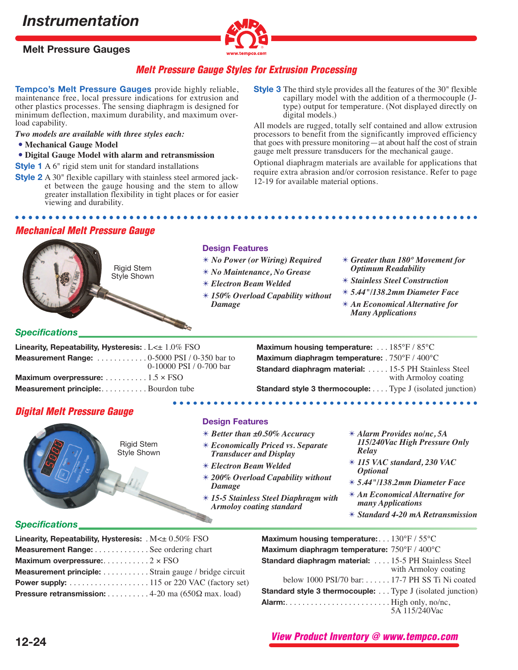



## **Melt Pressure Gauge Styles for Extrusion Processing**

**Tempco's Melt Pressure Gauges** provide highly reliable, maintenance free, local pressure indications for extrusion and other plastics processes. The sensing diaphragm is designed for minimum deflection, maximum durability, and maximum overload capability.

*Two models are available with three styles each:*

- **Mechanical Gauge Model**
- **Digital Gauge Model with alarm and retransmission**

**Style 1** A 6" rigid stem unit for standard installations

- **Style 2** A 30" flexible capillary with stainless steel armored jacket between the gauge housing and the stem to allow greater installation flexibility in tight places or for easier viewing and durability.
- **Style 3** The third style provides all the features of the 30" flexible capillary model with the addition of a thermocouple (Jtype) output for temperature. (Not displayed directly on digital models.)

All models are rugged, totally self contained and allow extrusion processors to benefit from the significantly improved efficiency that goes with pressure monitoring—at about half the cost of strain gauge melt pressure transducers for the mechanical gauge.

Optional diaphragm materials are available for applications that require extra abrasion and/or corrosion resistance. Refer to page 12-19 for available material options.

## **Mechanical Melt Pressure Gauge**



### *Specifications*

| Linearity, Repeatability, Hysteresis: $L \leq \pm 1.0\%$ FSO                   |                         |  |  |  |
|--------------------------------------------------------------------------------|-------------------------|--|--|--|
| <b>Measurement Range:</b> $\dots\dots\dots\dots\dots0-5000$ PSI / 0-350 bar to |                         |  |  |  |
|                                                                                | 0-10000 PSI / 0-700 bar |  |  |  |
|                                                                                |                         |  |  |  |
| <b>Measurement principle:</b> Bourdon tube                                     |                         |  |  |  |

**Maximum housing temperature:** . . . 185°F / 85°C **Maximum diaphragm temperature:** . 750°F / 400°C **Standard diaphragm material:** . . . . . 15-5 PH Stainless Steel with Armoloy coating

**Standard style 3 thermocouple:** . . . . Type J (isolated junction)

## **Digital Melt Pressure Gauge**



**Design Features**

- ✴ *Better than ±0.50% Accuracy*
- ✴ *Economically Priced vs. Separate Transducer and Display*
- ✴ *Electron Beam Welded*
- ✴ *200% Overload Capability without Damage*
- ✴ *15-5 Stainless Steel Diaphragm with Armoloy coating standard*
- ✴ *Alarm Provides no/nc, 5A 115/240Vac High Pressure Only Relay*
- ✴ *115 VAC standard, 230 VAC Optional*
- ✴ *5.44"/138.2mm Diameter Face*
- ✴ *An Economical Alternative for many Applications*
- ✴ *Standard 4-20 mA Retransmission*

## *Specifications*

| Linearity, Repeatability, Hysteresis: $M \leq \pm 0.50\%$ FSO    |  |
|------------------------------------------------------------------|--|
| Measurement Range: See ordering chart                            |  |
| Maximum overpressure:2 $\times$ FSO                              |  |
| <b>Measurement principle:</b> Strain gauge / bridge circuit      |  |
|                                                                  |  |
| <b>Pressure retransmission:</b> 4-20 ma ( $650\Omega$ max. load) |  |

**Maximum housing temperature:**. . . 130°F / 55°C **Maximum diaphragm temperature:** 750°F / 400°C **Standard diaphragm material:** . . . . 15-5 PH Stainless Steel with Armoloy coating below 1000 PSI/70 bar: . . . . . . 17-7 PH SS Ti Ni coated **Standard style 3 thermocouple:** . . . Type J (isolated junction) **Alarm:**. . . . . . . . . . . . . . . . . . . . . . . . . High only, no/nc, 5A 115/240Vac

**View Product Inventory @ www.tempco.com**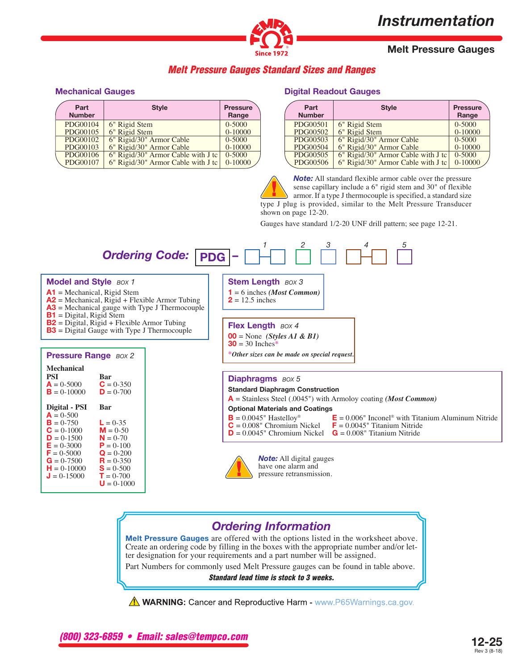

## **Melt Pressure Gauges**

## **Melt Pressure Gauges Standard Sizes and Ranges**

#### **Mechanical Gauges**

| Part<br><b>Number</b> | <b>Style</b>                       | <b>Pressure</b><br>Range |
|-----------------------|------------------------------------|--------------------------|
| PDG00104              | 6" Rigid Stem                      | 0-5000                   |
| PDG00105              | 6" Rigid Stem                      | $0-10000$                |
| PDG00102              | 6" Rigid/30" Armor Cable           | 0-5000                   |
| PDG00103              | 6" Rigid/30" Armor Cable           | $0-10000$                |
| PDG00106              | 6" Rigid/30" Armor Cable with J tc | $0 - 5000$               |
| PDG00107              | 6" Rigid/30" Armor Cable with J tc | $0-10000$                |
|                       |                                    |                          |

#### **Digital Readout Gauges**

| Part<br><b>Number</b> | <b>Style</b>                       | <b>Pressure</b><br>Range |
|-----------------------|------------------------------------|--------------------------|
| PDG00501              | 6" Rigid Stem                      | $0 - 5000$               |
| PDG00502              | 6" Rigid Stem                      | $0-10000$                |
| PDG00503              | 6" Rigid/30" Armor Cable           | 0-5000                   |
| PDG00504              | 6" Rigid/30" Armor Cable           | $0-10000$                |
| PDG00505              | 6" Rigid/30" Armor Cable with J tc | 0-5000                   |
| PDG00506              | 6" Rigid/30" Armor Cable with J tc | $0-10000$                |

*Note:* All standard flexible armor cable over the pressure sense capillary include a 6" rigid stem and 30" of flexible armor. If a type J thermocouple is specified, a standard size type J plug is provided, similar to the Melt Pressure Transducer shown on page 12-20.

Gauges have standard 1/2-20 UNF drill pattern; see page 12-21.



 $2 = 12.5$  inches

**Stem Length** *BOX* **3 1** = 6 inches *(Most Common)*

#### **Model and Style** *BOX 1*

- **A1** = Mechanical, Rigid Stem
- **A2** = Mechanical, Rigid + Flexible Armor Tubing
- **A3** = Mechanical gauge with Type J Thermocouple
- **B1** = Digital, Rigid Stem
- **B2** = Digital, Rigid + Flexible Armor Tubing
- **B3** = Digital Gauge with Type J Thermocouple

#### **Pressure Range** *BOX 2* **Mechanical PSI Bar**<br> $A = 0.5000$  **C** = 0.350 **A** =  $0.5000$  **C** =  $0.350$ <br>**B** =  $0.10000$  **D** =  $0.700$  $B = 0-10000$ **Digital - PSI Bar**  $A = 0.500$ **B** =  $0-750$  **L** =  $0-35$ <br>**C** =  $0-1000$  **M** =  $0-50$ **C** = 0-1000 **M** = 0-50<br>**D** = 0-1500 **N** = 0-70 **D** =  $0-1500$  **N** =  $0-70$ <br>**E** =  $0-3000$  **P** =  $0-100$ **E** =  $0-3000$  **P** =  $0-100$ <br>**F** =  $0-5000$  **Q** =  $0-200$ **F** = 0-5000 **Q** = 0-200<br>**G** = 0-7500 **R** = 0-350 **G** =  $0-7500$  **R** =  $0-350$ <br>**H** =  $0-10000$  **S** =  $0-500$ **H** = 0-10000 **S** = 0-500<br>**J** = 0-15000 **T** = 0-700  $J = 0.15000$  $U = 0.1000$

**Flex Length** *BOX 4* **00** = None *(Styles A1 & B1)*  $30 = 30$  Inches<sup>\*</sup>

\**Other sizes can be made on special request.*

#### **Diaphragms** *BOX 5*

#### **Standard Diaphragm Construction**

**A** = Stainless Steel (.0045") with Armoloy coating *(Most Common)*

#### **Optional Materials and Coatings**

- 
- $D = 0.0045$ " Chromium Nickel
- **B** = 0.0045" Hastelloy<sup>®</sup> **E** = 0.006" Inconel<sup>®</sup> with Titanium Aluminum Nitride **C** = 0.008" Chromium Nickel **F** = 0.0045" Titanium Nitride  $\mathbf{F} = 0.0045$ " Titanium Nitride<br> $\mathbf{G} = 0.008$ " Titanium Nitride



*Note:* All digital gauges have one alarm and pressure retransmission.

## *Ordering Information*

**Melt Pressure Gauges** are offered with the options listed in the worksheet above. Create an ordering code by filling in the boxes with the appropriate number and/or let- ter designation for your requirements and a part number will be assigned.

Part Numbers for commonly used Melt Pressure gauges can be found in table above.

**Standard lead time is stock to 3 weeks.**

 $\triangle$  WARNING: Cancer and Reproductive Harm - www.P65Warnings.ca.gov.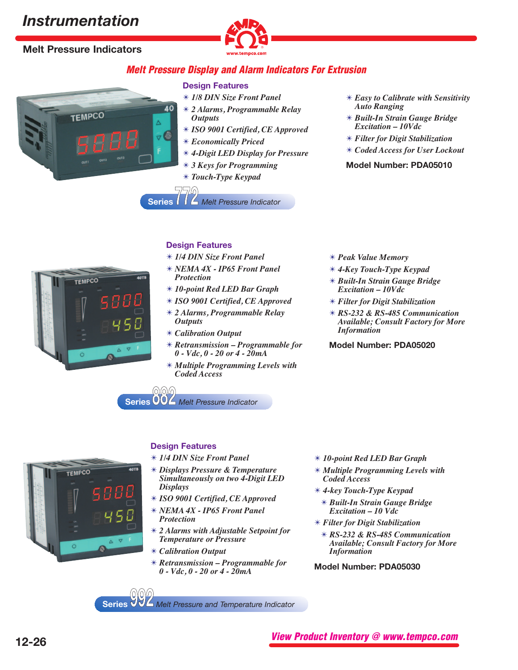# **Melt Pressure Indicators**

**TEMPCO** 



## **Melt Pressure Display and Alarm Indicators For Extrusion**

#### **Design Features**

40

- ✴ *1/8 DIN Size Front Panel*
- ✴ *2 Alarms, Programmable Relay Outputs*
- ✴ *ISO 9001 Certified, CE Approved*
- ✴ *Economically Priced*
- ✴ *4-Digit LED Display for Pressure*
- ✴ *3 Keys for Programming*
- ✴ *Touch-Type Keypad*

**Series 772** *Melt Pressure Indicator*

- ✴ *Easy to Calibrate with Sensitivity Auto Ranging*
- ✴ *Built-In Strain Gauge Bridge Excitation – 10Vdc*
- ✴ *Filter for Digit Stabilization*
- ✴ *Coded Access for User Lockout*

#### **Model Number: PDA05010**



### **Design Features**

- ✴ *1/4 DIN Size Front Panel*
- ✴ *NEMA 4X IP65 Front Panel Protection*
- ✴ *10-point Red LED Bar Graph*
- ✴ *ISO 9001 Certified, CE Approved*
- ✴ *2 Alarms, Programmable Relay Outputs*
- ✴ *Calibration Output*
- ✴ *Retransmission Programmable for 0 - Vdc, 0 - 20 or 4 - 20mA*
- ✴ *Multiple Programming Levels with Coded Access*
- ✴ *Peak Value Memory*
- ✴ *4-Key Touch-Type Keypad*
- ✴ *Built-In Strain Gauge Bridge Excitation – 10Vdc*
- ✴ *Filter for Digit Stabilization*
- ✴ *RS-232 & RS-485 Communication Available; Consult Factory for More Information*

### **Model Number: PDA05020**

**Series 882** *Melt Pressure Indicator*

## **Design Features**

- ✴ *1/4 DIN Size Front Panel*
- ✴ *Displays Pressure & Temperature Simultaneously on two 4-Digit LED Displays*
- ✴ *ISO 9001 Certified, CE Approved*
- ✴ *NEMA 4X IP65 Front Panel Protection*
- ✴ *2 Alarms with Adjustable Setpoint for Temperature or Pressure*
- ✴ *Calibration Output*
- ✴ *Retransmission Programmable for 0 - Vdc, 0 - 20 or 4 - 20mA*
- ✴ *10-point Red LED Bar Graph*
- ✴ *Multiple Programming Levels with Coded Access*
- ✴ *4-key Touch-Type Keypad* ✴ *Built-In Strain Gauge Bridge Excitation – 10 Vdc*
- ✴ *Filter for Digit Stabilization*
	- ✴ *RS-232 & RS-485 Communication Available; Consult Factory for More Information*
- **Model Number: PDA05030**

**Series 992** *Melt Pressure and Temperature Indicator*



**TEMPCO**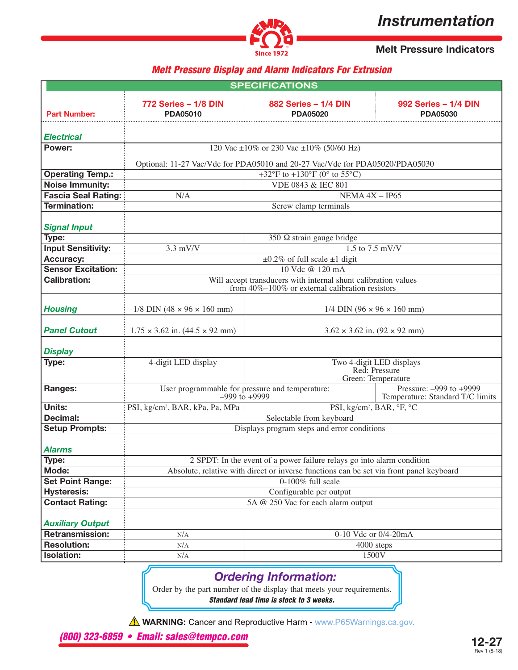

**Melt Pressure Indicators**

## **Melt Pressure Display and Alarm Indicators For Extrusion**

|                            |                                                                                         | <b>SPECIFICATIONS</b>                                                                                                                         |                                     |  |  |  |  |  |  |
|----------------------------|-----------------------------------------------------------------------------------------|-----------------------------------------------------------------------------------------------------------------------------------------------|-------------------------------------|--|--|--|--|--|--|
| <b>Part Number:</b>        | 772 Series - 1/8 DIN<br><b>PDA05010</b>                                                 | 882 Series - 1/4 DIN<br>992 Series - 1/4 DIN<br><b>PDA05020</b><br><b>PDA05030</b>                                                            |                                     |  |  |  |  |  |  |
| <b>Electrical</b>          |                                                                                         |                                                                                                                                               |                                     |  |  |  |  |  |  |
| Power:                     |                                                                                         | 120 Vac ±10% or 230 Vac ±10% (50/60 Hz)                                                                                                       |                                     |  |  |  |  |  |  |
|                            |                                                                                         |                                                                                                                                               |                                     |  |  |  |  |  |  |
| <b>Operating Temp.:</b>    |                                                                                         | Optional: 11-27 Vac/Vdc for PDA05010 and 20-27 Vac/Vdc for PDA05020/PDA05030<br>+32 $\rm{°F}$ to +130 $\rm{°F}$ (0 $\rm{°}$ to 55 $\rm{°C}$ ) |                                     |  |  |  |  |  |  |
| <b>Noise Immunity:</b>     |                                                                                         | VDE 0843 & IEC 801                                                                                                                            |                                     |  |  |  |  |  |  |
| <b>Fascia Seal Rating:</b> | N/A                                                                                     | NEMA $4X - IP65$                                                                                                                              |                                     |  |  |  |  |  |  |
| <b>Termination:</b>        |                                                                                         | Screw clamp terminals                                                                                                                         |                                     |  |  |  |  |  |  |
|                            |                                                                                         |                                                                                                                                               |                                     |  |  |  |  |  |  |
| <b>Signal Input</b>        |                                                                                         |                                                                                                                                               |                                     |  |  |  |  |  |  |
| Type:                      |                                                                                         | 350 $\Omega$ strain gauge bridge                                                                                                              |                                     |  |  |  |  |  |  |
| <b>Input Sensitivity:</b>  | $3.3$ mV/V                                                                              | $1.5$ to $7.5$ mV/V                                                                                                                           |                                     |  |  |  |  |  |  |
| <b>Accuracy:</b>           |                                                                                         | $\pm 0.2\%$ of full scale $\pm 1$ digit                                                                                                       |                                     |  |  |  |  |  |  |
| <b>Sensor Excitation:</b>  |                                                                                         | 10 Vdc @ 120 mA                                                                                                                               |                                     |  |  |  |  |  |  |
| <b>Calibration:</b>        |                                                                                         | Will accept transducers with internal shunt calibration values<br>from $40\% - 100\%$ or external calibration resistors                       |                                     |  |  |  |  |  |  |
|                            |                                                                                         |                                                                                                                                               |                                     |  |  |  |  |  |  |
| <b>Housing</b>             | $1/8$ DIN (48 $\times$ 96 $\times$ 160 mm)                                              | 1/4 DIN $(96 \times 96 \times 160$ mm)                                                                                                        |                                     |  |  |  |  |  |  |
| <b>Panel Cutout</b>        |                                                                                         | $3.62 \times 3.62$ in. $(92 \times 92$ mm)                                                                                                    |                                     |  |  |  |  |  |  |
|                            | $1.75 \times 3.62$ in. $(44.5 \times 92$ mm)                                            |                                                                                                                                               |                                     |  |  |  |  |  |  |
| <b>Display</b>             |                                                                                         |                                                                                                                                               |                                     |  |  |  |  |  |  |
| Type:                      | 4-digit LED display                                                                     |                                                                                                                                               | Two 4-digit LED displays            |  |  |  |  |  |  |
|                            |                                                                                         |                                                                                                                                               | Red: Pressure<br>Green: Temperature |  |  |  |  |  |  |
| Ranges:                    | User programmable for pressure and temperature:                                         |                                                                                                                                               | Pressure: -999 to +9999             |  |  |  |  |  |  |
| Units:                     | $-999$ to $+9999$<br>PSI, kg/cm <sup>2</sup> , BAR, kPa, Pa, MPa                        | PSI, kg/cm <sup>2</sup> , BAR, °F, °C                                                                                                         | Temperature: Standard T/C limits    |  |  |  |  |  |  |
| Decimal:                   |                                                                                         | Selectable from keyboard                                                                                                                      |                                     |  |  |  |  |  |  |
| <b>Setup Prompts:</b>      |                                                                                         | Displays program steps and error conditions                                                                                                   |                                     |  |  |  |  |  |  |
|                            |                                                                                         |                                                                                                                                               |                                     |  |  |  |  |  |  |
| <b>Alarms</b>              |                                                                                         |                                                                                                                                               |                                     |  |  |  |  |  |  |
| Type:                      |                                                                                         | 2 SPDT: In the event of a power failure relays go into alarm condition                                                                        |                                     |  |  |  |  |  |  |
| Mode:                      | Absolute, relative with direct or inverse functions can be set via front panel keyboard |                                                                                                                                               |                                     |  |  |  |  |  |  |
| <b>Set Point Range:</b>    | 0-100% full scale                                                                       |                                                                                                                                               |                                     |  |  |  |  |  |  |
| <b>Hysteresis:</b>         | Configurable per output                                                                 |                                                                                                                                               |                                     |  |  |  |  |  |  |
| <b>Contact Rating:</b>     | 5A @ 250 Vac for each alarm output                                                      |                                                                                                                                               |                                     |  |  |  |  |  |  |
| <b>Auxiliary Output</b>    |                                                                                         |                                                                                                                                               |                                     |  |  |  |  |  |  |
| Retransmission:            | N/A                                                                                     | 0-10 Vdc or 0/4-20mA                                                                                                                          |                                     |  |  |  |  |  |  |
| <b>Resolution:</b>         | N/A                                                                                     |                                                                                                                                               | 4000 steps                          |  |  |  |  |  |  |
| <b>Isolation:</b>          | N/A                                                                                     |                                                                                                                                               | 1500V                               |  |  |  |  |  |  |
|                            |                                                                                         |                                                                                                                                               |                                     |  |  |  |  |  |  |

## *Ordering Information:*

Order by the part number of the display that meets your requirements. **Standard lead time is stock to 3 weeks.**

A WARNING: Cancer and Reproductive Harm - www.P65Warnings.ca.gov.